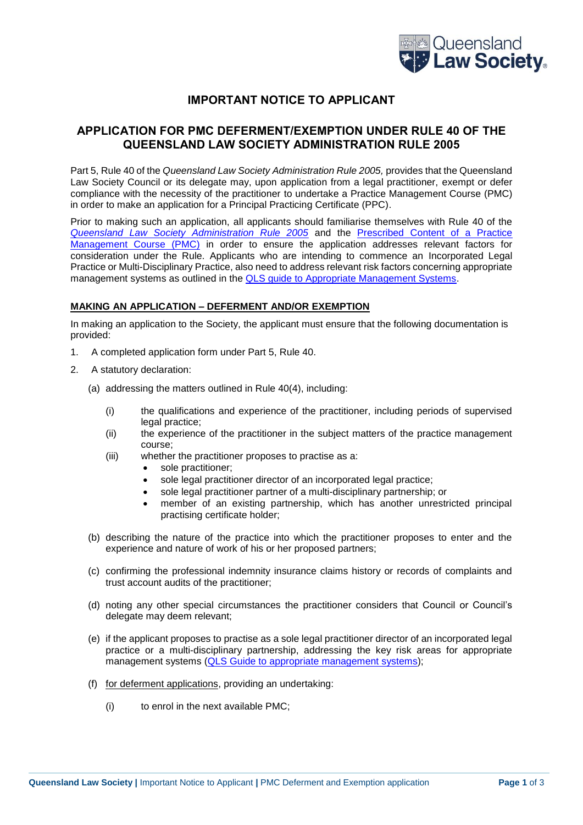

# **IMPORTANT NOTICE TO APPLICANT**

# **APPLICATION FOR PMC DEFERMENT/EXEMPTION UNDER RULE 40 OF THE QUEENSLAND LAW SOCIETY ADMINISTRATION RULE 2005**

Part 5, Rule 40 of the *Queensland Law Society Administration Rule 2005,* provides that the Queensland Law Society Council or its delegate may, upon application from a legal practitioner, exempt or defer compliance with the necessity of the practitioner to undertake a Practice Management Course (PMC) in order to make an application for a Principal Practicing Certificate (PPC).

Prior to making such an application, all applicants should familiarise themselves with Rule 40 of the *[Queensland Law Society Administration Rule 2005](https://www.qls.com.au/Knowledge_centre/Legislation_rules)* and the [Prescribed Content of a Practice](http://www.qls.com.au/files/592c7cc1-02cd-4765-a54a-a81000b604d4/doc20170603_Prescribed_Content_-_QLS_Council_approved_June_2017_FNL.pdf)  [Management Course \(PMC\)](http://www.qls.com.au/files/592c7cc1-02cd-4765-a54a-a81000b604d4/doc20170603_Prescribed_Content_-_QLS_Council_approved_June_2017_FNL.pdf) in order to ensure the application addresses relevant factors for consideration under the Rule. Applicants who are intending to commence an Incorporated Legal Practice or Multi-Disciplinary Practice, also need to address relevant risk factors concerning appropriate management systems as outlined in the [QLS guide to Appropriate Management Systems.](https://www.qls.com.au/files/bce407d5-756f-4444-8515-a74600a7a081/doc20170320_QLS_Guide_to_ApprManagment_Syst_FNL.pdf)

### **MAKING AN APPLICATION – DEFERMENT AND/OR EXEMPTION**

In making an application to the Society, the applicant must ensure that the following documentation is provided:

- 1. A completed application form under Part 5, Rule 40.
- 2. A statutory declaration:
	- (a) addressing the matters outlined in Rule 40(4), including:
		- (i) the qualifications and experience of the practitioner, including periods of supervised legal practice;
		- (ii) the experience of the practitioner in the subject matters of the practice management course;
		- (iii) whether the practitioner proposes to practise as a:
			- sole practitioner:
			- sole legal practitioner director of an incorporated legal practice;
			- sole legal practitioner partner of a multi-disciplinary partnership; or
			- member of an existing partnership, which has another unrestricted principal practising certificate holder;
	- (b) describing the nature of the practice into which the practitioner proposes to enter and the experience and nature of work of his or her proposed partners;
	- (c) confirming the professional indemnity insurance claims history or records of complaints and trust account audits of the practitioner;
	- (d) noting any other special circumstances the practitioner considers that Council or Council's delegate may deem relevant;
	- (e) if the applicant proposes to practise as a sole legal practitioner director of an incorporated legal practice or a multi-disciplinary partnership, addressing the key risk areas for appropriate management systems [\(QLS Guide to appropriate management systems\)](https://search.qls.com.au/s/redirect?collection=qls-meta&url=http%3A%2F%2Fwww.qls.com.au%2Ffiles%2Fbce407d5-756f-4444-8515-a74600a7a081%2Fdoc20170320_QLS_Guide_to_ApprManagment_Syst_FNL.pdf&auth=byCGpBABcJ4RXij5FMqTXg&profile=_default&rank=1&query=guide+to+appropriate);
	- (f) for deferment applications, providing an undertaking:
		- (i) to enrol in the next available PMC;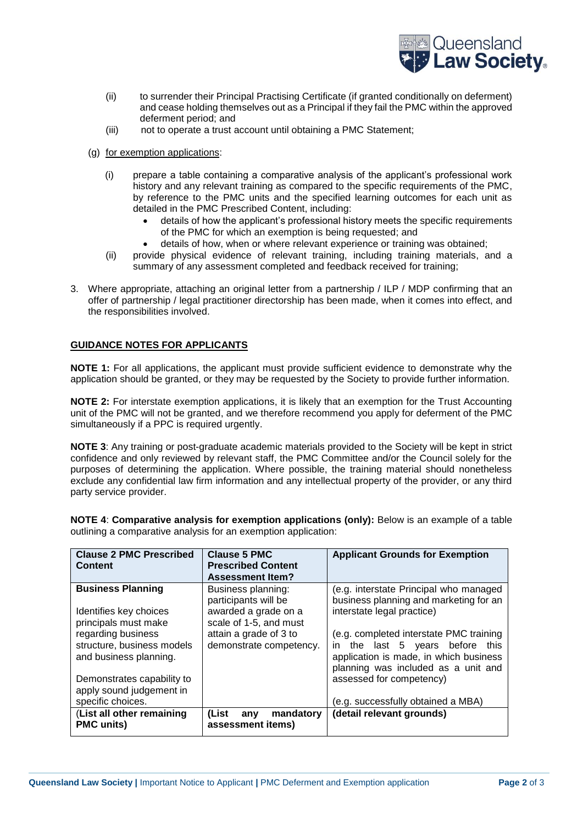

- (ii) to surrender their Principal Practising Certificate (if granted conditionally on deferment) and cease holding themselves out as a Principal if they fail the PMC within the approved deferment period; and
- (iii) not to operate a trust account until obtaining a PMC Statement;
- (g) for exemption applications:
	- (i) prepare a table containing a comparative analysis of the applicant's professional work history and any relevant training as compared to the specific requirements of the PMC, by reference to the PMC units and the specified learning outcomes for each unit as detailed in the PMC Prescribed Content, including:
		- details of how the applicant's professional history meets the specific requirements of the PMC for which an exemption is being requested; and
		- details of how, when or where relevant experience or training was obtained;
	- (ii) provide physical evidence of relevant training, including training materials, and a summary of any assessment completed and feedback received for training:
- 3. Where appropriate, attaching an original letter from a partnership / ILP / MDP confirming that an offer of partnership / legal practitioner directorship has been made, when it comes into effect, and the responsibilities involved.

## **GUIDANCE NOTES FOR APPLICANTS**

**NOTE 1:** For all applications, the applicant must provide sufficient evidence to demonstrate why the application should be granted, or they may be requested by the Society to provide further information.

**NOTE 2:** For interstate exemption applications, it is likely that an exemption for the Trust Accounting unit of the PMC will not be granted, and we therefore recommend you apply for deferment of the PMC simultaneously if a PPC is required urgently.

**NOTE 3**: Any training or post-graduate academic materials provided to the Society will be kept in strict confidence and only reviewed by relevant staff, the PMC Committee and/or the Council solely for the purposes of determining the application. Where possible, the training material should nonetheless exclude any confidential law firm information and any intellectual property of the provider, or any third party service provider.

**NOTE 4**: **Comparative analysis for exemption applications (only):** Below is an example of a table outlining a comparative analysis for an exemption application:

| <b>Clause 2 PMC Prescribed</b><br><b>Content</b>                           | <b>Clause 5 PMC</b><br><b>Prescribed Content</b><br><b>Assessment Item?</b> | <b>Applicant Grounds for Exemption</b>                                                                                                                      |
|----------------------------------------------------------------------------|-----------------------------------------------------------------------------|-------------------------------------------------------------------------------------------------------------------------------------------------------------|
| <b>Business Planning</b>                                                   | Business planning:<br>participants will be                                  | (e.g. interstate Principal who managed<br>business planning and marketing for an                                                                            |
| Identifies key choices<br>principals must make                             | awarded a grade on a<br>scale of 1-5, and must                              | interstate legal practice)                                                                                                                                  |
| regarding business<br>structure, business models<br>and business planning. | attain a grade of 3 to<br>demonstrate competency.                           | (e.g. completed interstate PMC training<br>in the last 5 years before this<br>application is made, in which business<br>planning was included as a unit and |
| Demonstrates capability to<br>apply sound judgement in                     |                                                                             | assessed for competency)                                                                                                                                    |
| specific choices.                                                          |                                                                             | (e.g. successfully obtained a MBA)                                                                                                                          |
| (List all other remaining<br><b>PMC</b> units)                             | mandatory<br>(List<br>any<br>assessment items)                              | (detail relevant grounds)                                                                                                                                   |